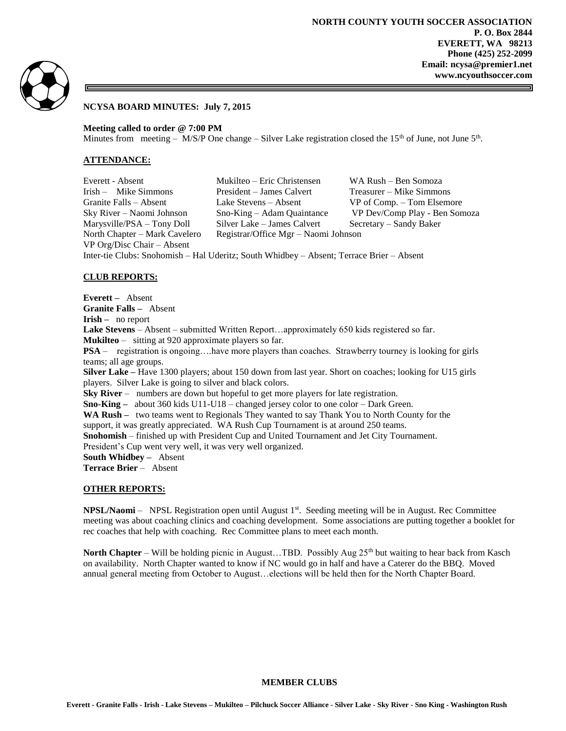

# **NCYSA BOARD MINUTES: July 7, 2015**

**Meeting called to order @ 7:00 PM**

Minutes from meeting –  $M/S/P$  One change – Silver Lake registration closed the 15<sup>th</sup> of June, not June 5<sup>th</sup>.

## **ATTENDANCE:**

Everett - Absent Mukilteo – Eric Christensen WA Rush – Ben Somoza Irish – Mike Simmons President – James Calvert Treasurer – Mike Simmons Granite Falls – Absent Lake Stevens – Absent VP of Comp. – Tom Elsemore Sky River – Naomi Johnson Sno-King – Adam Quaintance VP Dev/Comp Play - Ben Somoza Marysville/PSA – Tony Doll Silver Lake – James Calvert Secretary – Sandy Baker North Chapter – Mark Cavelero Registrar/Office Mgr – Naomi Johnson VP Org/Disc Chair – Absent

Inter-tie Clubs: Snohomish – Hal Uderitz; South Whidbey – Absent; Terrace Brier – Absent

# **CLUB REPORTS:**

**Everett –** Absent **Granite Falls –** Absent **Irish –** no report **Lake Stevens** – Absent – submitted Written Report…approximately 650 kids registered so far. **Mukilteo** – sitting at 920 approximate players so far. **PSA** – registration is ongoing....have more players than coaches. Strawberry tourney is looking for girls teams; all age groups. **Silver Lake –** Have 1300 players; about 150 down from last year. Short on coaches; looking for U15 girls players. Silver Lake is going to silver and black colors. **Sky River** – numbers are down but hopeful to get more players for late registration. **Sno-King –** about 360 kids U11-U18 – changed jersey color to one color – Dark Green. **WA Rush –** two teams went to Regionals They wanted to say Thank You to North County for the support, it was greatly appreciated. WA Rush Cup Tournament is at around 250 teams. **Snohomish** – finished up with President Cup and United Tournament and Jet City Tournament. President's Cup went very well, it was very well organized. **South Whidbey –** Absent **Terrace Brier** – Absent

#### **OTHER REPORTS:**

**NPSL/Naomi** – NPSL Registration open until August 1<sup>st</sup>. Seeding meeting will be in August. Rec Committee meeting was about coaching clinics and coaching development. Some associations are putting together a booklet for rec coaches that help with coaching. Rec Committee plans to meet each month.

**North Chapter** – Will be holding picnic in August...TBD. Possibly Aug 25<sup>th</sup> but waiting to hear back from Kasch on availability. North Chapter wanted to know if NC would go in half and have a Caterer do the BBQ. Moved annual general meeting from October to August…elections will be held then for the North Chapter Board.

#### **MEMBER CLUBS**